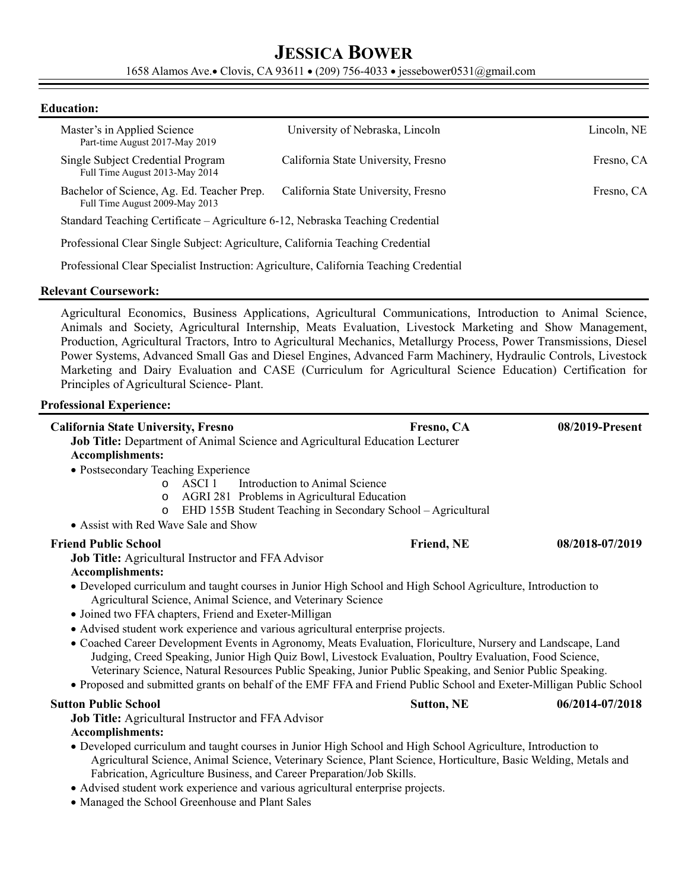# **JESSICA BOWER**

1658 Alamos Ave. Clovis, CA 93611 . (209) 756-4033 · jessebower0531@gmail.com

#### **Education:**

| Master's in Applied Science<br>Part-time August 2017-May 2019                          | University of Nebraska, Lincoln     | Lincoln, NE |  |  |
|----------------------------------------------------------------------------------------|-------------------------------------|-------------|--|--|
| Single Subject Credential Program<br>Full Time August 2013-May 2014                    | California State University, Fresno | Fresno, CA  |  |  |
| Bachelor of Science, Ag. Ed. Teacher Prep.<br>Full Time August 2009-May 2013           | California State University, Fresno | Fresno, CA  |  |  |
| Standard Teaching Certificate – Agriculture 6-12, Nebraska Teaching Credential         |                                     |             |  |  |
| Professional Clear Single Subject: Agriculture, California Teaching Credential         |                                     |             |  |  |
| Professional Clear Specialist Instruction: Agriculture, California Teaching Credential |                                     |             |  |  |

#### **Relevant Coursework:**

Agricultural Economics, Business Applications, Agricultural Communications, Introduction to Animal Science, Animals and Society, Agricultural Internship, Meats Evaluation, Livestock Marketing and Show Management, Production, Agricultural Tractors, Intro to Agricultural Mechanics, Metallurgy Process, Power Transmissions, Diesel Power Systems, Advanced Small Gas and Diesel Engines, Advanced Farm Machinery, Hydraulic Controls, Livestock Marketing and Dairy Evaluation and CASE (Curriculum for Agricultural Science Education) Certification for Principles of Agricultural Science- Plant.

#### **Professional Experience:**

| <b>California State University, Fresno</b>                                                                                                                                                                                                                                                                                                                                                                                                                   | Fresno, CA        | 08/2019-Present |  |  |
|--------------------------------------------------------------------------------------------------------------------------------------------------------------------------------------------------------------------------------------------------------------------------------------------------------------------------------------------------------------------------------------------------------------------------------------------------------------|-------------------|-----------------|--|--|
| Job Title: Department of Animal Science and Agricultural Education Lecturer                                                                                                                                                                                                                                                                                                                                                                                  |                   |                 |  |  |
| <b>Accomplishments:</b>                                                                                                                                                                                                                                                                                                                                                                                                                                      |                   |                 |  |  |
| · Postsecondary Teaching Experience                                                                                                                                                                                                                                                                                                                                                                                                                          |                   |                 |  |  |
| Introduction to Animal Science<br>ASCI 1<br>$\Omega$                                                                                                                                                                                                                                                                                                                                                                                                         |                   |                 |  |  |
| AGRI 281 Problems in Agricultural Education<br>$\circ$                                                                                                                                                                                                                                                                                                                                                                                                       |                   |                 |  |  |
| EHD 155B Student Teaching in Secondary School - Agricultural<br>$\circ$                                                                                                                                                                                                                                                                                                                                                                                      |                   |                 |  |  |
| • Assist with Red Wave Sale and Show                                                                                                                                                                                                                                                                                                                                                                                                                         |                   |                 |  |  |
| <b>Friend Public School</b>                                                                                                                                                                                                                                                                                                                                                                                                                                  | Friend, NE        | 08/2018-07/2019 |  |  |
| <b>Job Title:</b> Agricultural Instructor and FFA Advisor                                                                                                                                                                                                                                                                                                                                                                                                    |                   |                 |  |  |
| Accomplishments:                                                                                                                                                                                                                                                                                                                                                                                                                                             |                   |                 |  |  |
| • Developed curriculum and taught courses in Junior High School and High School Agriculture, Introduction to                                                                                                                                                                                                                                                                                                                                                 |                   |                 |  |  |
| Agricultural Science, Animal Science, and Veterinary Science                                                                                                                                                                                                                                                                                                                                                                                                 |                   |                 |  |  |
| · Joined two FFA chapters, Friend and Exeter-Milligan                                                                                                                                                                                                                                                                                                                                                                                                        |                   |                 |  |  |
| • Advised student work experience and various agricultural enterprise projects.                                                                                                                                                                                                                                                                                                                                                                              |                   |                 |  |  |
| • Coached Career Development Events in Agronomy, Meats Evaluation, Floriculture, Nursery and Landscape, Land<br>Judging, Creed Speaking, Junior High Quiz Bowl, Livestock Evaluation, Poultry Evaluation, Food Science,<br>Veterinary Science, Natural Resources Public Speaking, Junior Public Speaking, and Senior Public Speaking.<br>• Proposed and submitted grants on behalf of the EMF FFA and Friend Public School and Exeter-Milligan Public School |                   |                 |  |  |
| <b>Sutton Public School</b>                                                                                                                                                                                                                                                                                                                                                                                                                                  | <b>Sutton, NE</b> | 06/2014-07/2018 |  |  |
| <b>Job Title:</b> Agricultural Instructor and FFA Advisor                                                                                                                                                                                                                                                                                                                                                                                                    |                   |                 |  |  |
| Accomplishments:                                                                                                                                                                                                                                                                                                                                                                                                                                             |                   |                 |  |  |
| • Developed curriculum and taught courses in Junior High School and High School Agriculture, Introduction to<br>Agricultural Science, Animal Science, Veterinary Science, Plant Science, Horticulture, Basic Welding, Metals and<br>Fabrication, Agriculture Business, and Career Preparation/Job Skills.                                                                                                                                                    |                   |                 |  |  |
| • Advised student work experience and various agricultural enterprise projects.                                                                                                                                                                                                                                                                                                                                                                              |                   |                 |  |  |

Managed the School Greenhouse and Plant Sales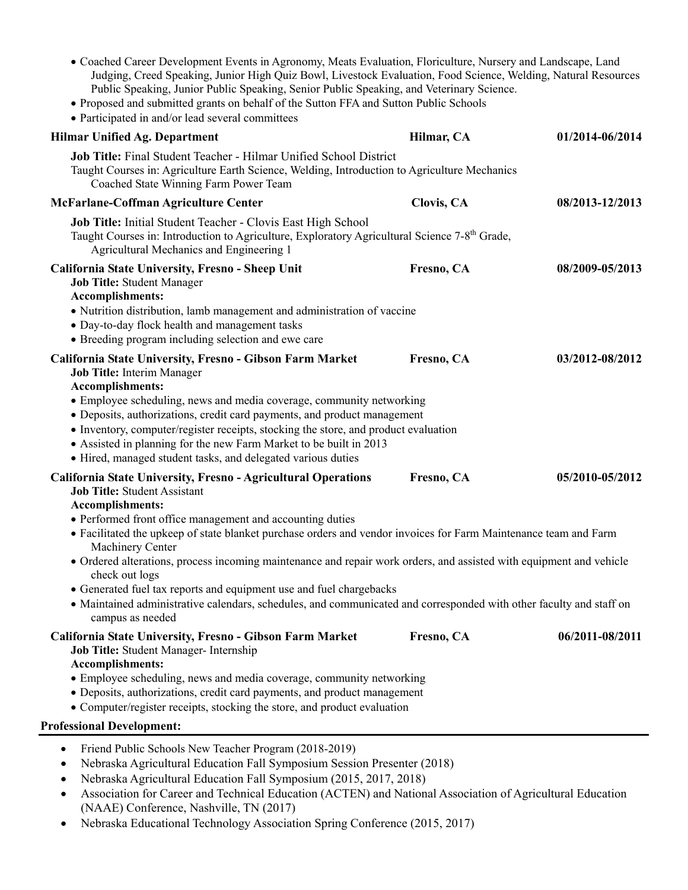- Coached Career Development Events in Agronomy, Meats Evaluation, Floriculture, Nursery and Landscape, Land Judging, Creed Speaking, Junior High Quiz Bowl, Livestock Evaluation, Food Science, Welding, Natural Resources Public Speaking, Junior Public Speaking, Senior Public Speaking, and Veterinary Science.
- Proposed and submitted grants on behalf of the Sutton FFA and Sutton Public Schools
- Participated in and/or lead several committees

| <b>Hilmar Unified Ag. Department</b>                                                                                                                                                                                                                                                                                                                                                                                                                                                               | Hilmar, CA | 01/2014-06/2014 |
|----------------------------------------------------------------------------------------------------------------------------------------------------------------------------------------------------------------------------------------------------------------------------------------------------------------------------------------------------------------------------------------------------------------------------------------------------------------------------------------------------|------------|-----------------|
| Job Title: Final Student Teacher - Hilmar Unified School District<br>Taught Courses in: Agriculture Earth Science, Welding, Introduction to Agriculture Mechanics<br>Coached State Winning Farm Power Team                                                                                                                                                                                                                                                                                         |            |                 |
| McFarlane-Coffman Agriculture Center                                                                                                                                                                                                                                                                                                                                                                                                                                                               | Clovis, CA | 08/2013-12/2013 |
| Job Title: Initial Student Teacher - Clovis East High School<br>Taught Courses in: Introduction to Agriculture, Exploratory Agricultural Science 7-8 <sup>th</sup> Grade,<br>Agricultural Mechanics and Engineering 1                                                                                                                                                                                                                                                                              |            |                 |
| California State University, Fresno - Sheep Unit<br><b>Job Title: Student Manager</b><br>Accomplishments:<br>• Nutrition distribution, lamb management and administration of vaccine<br>• Day-to-day flock health and management tasks                                                                                                                                                                                                                                                             | Fresno, CA | 08/2009-05/2013 |
| • Breeding program including selection and ewe care                                                                                                                                                                                                                                                                                                                                                                                                                                                |            |                 |
| California State University, Fresno - Gibson Farm Market<br>Job Title: Interim Manager<br><b>Accomplishments:</b><br>• Employee scheduling, news and media coverage, community networking<br>• Deposits, authorizations, credit card payments, and product management<br>• Inventory, computer/register receipts, stocking the store, and product evaluation<br>• Assisted in planning for the new Farm Market to be built in 2013<br>• Hired, managed student tasks, and delegated various duties | Fresno, CA | 03/2012-08/2012 |
| California State University, Fresno - Agricultural Operations<br><b>Job Title: Student Assistant</b><br><b>Accomplishments:</b><br>• Performed front office management and accounting duties<br>• Facilitated the upkeep of state blanket purchase orders and vendor invoices for Farm Maintenance team and Farm<br>Machinery Center<br>· Ordered alterations, process incoming maintenance and repair work orders, and assisted with equipment and vehicle                                        | Fresno, CA | 05/2010-05/2012 |
| check out logs<br>• Generated fuel tax reports and equipment use and fuel chargebacks<br>• Maintained administrative calendars, schedules, and communicated and corresponded with other faculty and staff on<br>campus as needed                                                                                                                                                                                                                                                                   |            |                 |
| California State University, Fresno - Gibson Farm Market<br>Job Title: Student Manager- Internship<br><b>Accomplishments:</b><br>• Employee scheduling, news and media coverage, community networking<br>• Deposits, authorizations, credit card payments, and product management<br>• Computer/register receipts, stocking the store, and product evaluation                                                                                                                                      | Fresno, CA | 06/2011-08/2011 |
| <b>Professional Development:</b>                                                                                                                                                                                                                                                                                                                                                                                                                                                                   |            |                 |
| Friend Public Schools New Teacher Program (2018-2019)<br>Nebraska Agricultural Education Fall Symposium Session Presenter (2018)<br>٠                                                                                                                                                                                                                                                                                                                                                              |            |                 |

- Nebraska Agricultural Education Fall Symposium (2015, 2017, 2018)
- Association for Career and Technical Education (ACTEN) and National Association of Agricultural Education (NAAE) Conference, Nashville, TN (2017)
- Nebraska Educational Technology Association Spring Conference (2015, 2017)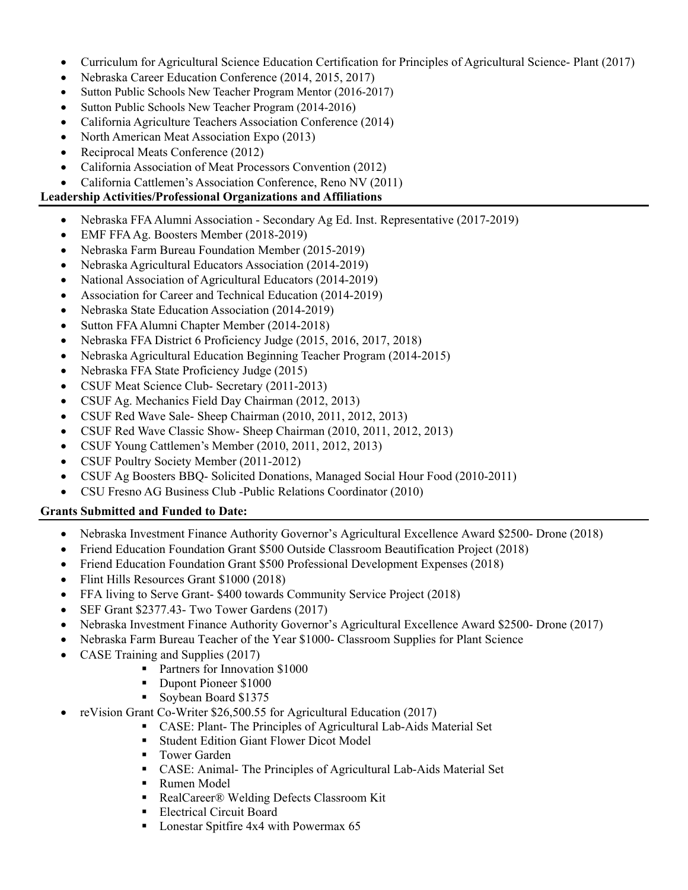- Curriculum for Agricultural Science Education Certification for Principles of Agricultural Science- Plant (2017)
- Nebraska Career Education Conference (2014, 2015, 2017)
- Sutton Public Schools New Teacher Program Mentor (2016-2017)
- Sutton Public Schools New Teacher Program (2014-2016)
- California Agriculture Teachers Association Conference (2014)
- North American Meat Association Expo (2013)
- Reciprocal Meats Conference (2012)
- California Association of Meat Processors Convention (2012)
- California Cattlemen's Association Conference, Reno NV (2011)

### **Leadership Activities/Professional Organizations and Affiliations**

- Nebraska FFA Alumni Association Secondary Ag Ed. Inst. Representative (2017-2019)
- EMF FFA Ag. Boosters Member (2018-2019)
- Nebraska Farm Bureau Foundation Member (2015-2019)
- Nebraska Agricultural Educators Association (2014-2019)
- National Association of Agricultural Educators (2014-2019)
- Association for Career and Technical Education (2014-2019)
- Nebraska State Education Association (2014-2019)
- Sutton FFA Alumni Chapter Member (2014-2018)
- Nebraska FFA District 6 Proficiency Judge (2015, 2016, 2017, 2018)
- Nebraska Agricultural Education Beginning Teacher Program (2014-2015)
- Nebraska FFA State Proficiency Judge (2015)
- CSUF Meat Science Club- Secretary (2011-2013)
- CSUF Ag. Mechanics Field Day Chairman (2012, 2013)
- CSUF Red Wave Sale- Sheep Chairman (2010, 2011, 2012, 2013)
- CSUF Red Wave Classic Show- Sheep Chairman (2010, 2011, 2012, 2013)
- CSUF Young Cattlemen's Member (2010, 2011, 2012, 2013)
- CSUF Poultry Society Member (2011-2012)
- CSUF Ag Boosters BBQ- Solicited Donations, Managed Social Hour Food (2010-2011)
- CSU Fresno AG Business Club -Public Relations Coordinator (2010)

#### **Grants Submitted and Funded to Date:**

- Nebraska Investment Finance Authority Governor's Agricultural Excellence Award \$2500- Drone (2018)
- Friend Education Foundation Grant \$500 Outside Classroom Beautification Project (2018)
- Friend Education Foundation Grant \$500 Professional Development Expenses (2018)
- Flint Hills Resources Grant \$1000 (2018)
- FFA living to Serve Grant- \$400 towards Community Service Project (2018)
- SEF Grant \$2377.43- Two Tower Gardens (2017)
- Nebraska Investment Finance Authority Governor's Agricultural Excellence Award \$2500- Drone (2017)
- Nebraska Farm Bureau Teacher of the Year \$1000- Classroom Supplies for Plant Science
- CASE Training and Supplies (2017)
	- **Partners for Innovation \$1000**
	- Dupont Pioneer \$1000
	- Soybean Board \$1375
- reVision Grant Co-Writer \$26,500.55 for Agricultural Education (2017)
	- CASE: Plant- The Principles of Agricultural Lab-Aids Material Set
	- Student Edition Giant Flower Dicot Model
	- **Tower Garden**
	- CASE: Animal- The Principles of Agricultural Lab-Aids Material Set
	- Rumen Model
	- RealCareer® Welding Defects Classroom Kit
	- **Electrical Circuit Board**
	- Lonestar Spitfire 4x4 with Powermax 65